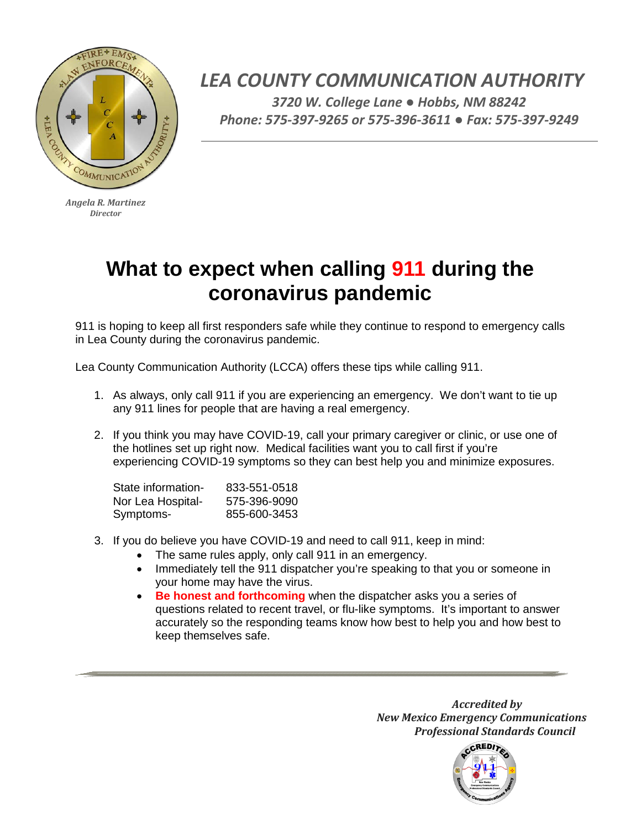

*Angela R. Martinez Director*

*LEA COUNTY COMMUNICATION AUTHORITY 3720 W. College Lane ● Hobbs, NM 88242 Phone: 575-397-9265 or 575-396-3611 ● Fax: 575-397-9249*

## **What to expect when calling 911 during the coronavirus pandemic**

911 is hoping to keep all first responders safe while they continue to respond to emergency calls in Lea County during the coronavirus pandemic.

Lea County Communication Authority (LCCA) offers these tips while calling 911.

- 1. As always, only call 911 if you are experiencing an emergency. We don't want to tie up any 911 lines for people that are having a real emergency.
- 2. If you think you may have COVID-19, call your primary caregiver or clinic, or use one of the hotlines set up right now. Medical facilities want you to call first if you're experiencing COVID-19 symptoms so they can best help you and minimize exposures.

| 833-551-0518 |
|--------------|
| 575-396-9090 |
| 855-600-3453 |
|              |

- 3. If you do believe you have COVID-19 and need to call 911, keep in mind:
	- The same rules apply, only call 911 in an emergency.
	- Immediately tell the 911 dispatcher you're speaking to that you or someone in your home may have the virus.
	- **Be honest and forthcoming** when the dispatcher asks you a series of questions related to recent travel, or flu-like symptoms. It's important to answer accurately so the responding teams know how best to help you and how best to keep themselves safe.

*Accredited by New Mexico Emergency Communications Professional Standards Council*